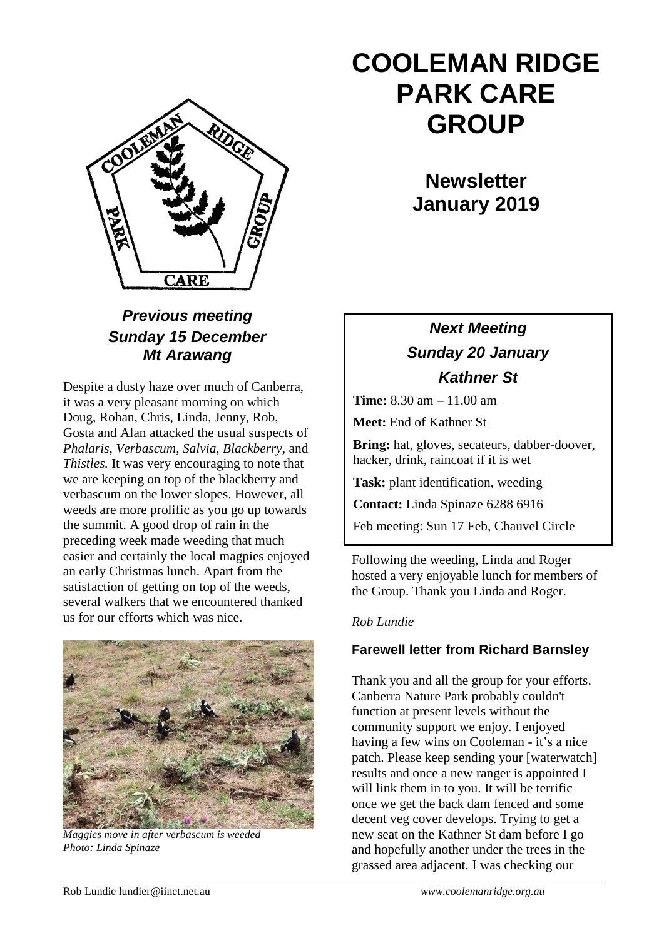

### *Previous meeting Sunday 15 December Mt Arawang*

Despite a dusty haze over much of Canberra, it was a very pleasant morning on which Doug, Rohan, Chris, Linda, Jenny, Rob, Gosta and Alan attacked the usual suspects of *Phalaris, Verbascum, Salvia, Blackberry,* and *Thistles.* It was very encouraging to note that we are keeping on top of the blackberry and verbascum on the lower slopes. However, all weeds are more prolific as you go up towards the summit. A good drop of rain in the preceding week made weeding that much easier and certainly the local magpies enjoyed an early Christmas lunch. Apart from the satisfaction of getting on top of the weeds, several walkers that we encountered thanked us for our efforts which was nice.



*Maggies move in after verbascum is weeded Photo: Linda Spinaze*

# **COOLEMAN RIDGE PARK CARE GROUP**

**Newsletter January 2019** 

## *Next Meeting Sunday 20 January Kathner St*

**Time:** 8.30 am – 11.00 am

**Meet:** End of Kathner St

**Bring:** hat, gloves, secateurs, dabber-doover, hacker, drink, raincoat if it is wet

**Task:** plant identification, weeding

**Contact:** Linda Spinaze 6288 6916

Feb meeting: Sun 17 Feb, Chauvel Circle

Following the weeding, Linda and Roger hosted a very enjoyable lunch for members of the Group. Thank you Linda and Roger.

#### *Rob Lundie*

#### **Farewell letter from Richard Barnsley**

Thank you and all the group for your efforts. Canberra Nature Park probably couldn't function at present levels without the community support we enjoy. I enjoyed having a few wins on Cooleman - it's a nice patch. Please keep sending your [waterwatch] results and once a new ranger is appointed I will link them in to you. It will be terrific once we get the back dam fenced and some decent veg cover develops. Trying to get a new seat on the Kathner St dam before I go and hopefully another under the trees in the grassed area adjacent. I was checking our